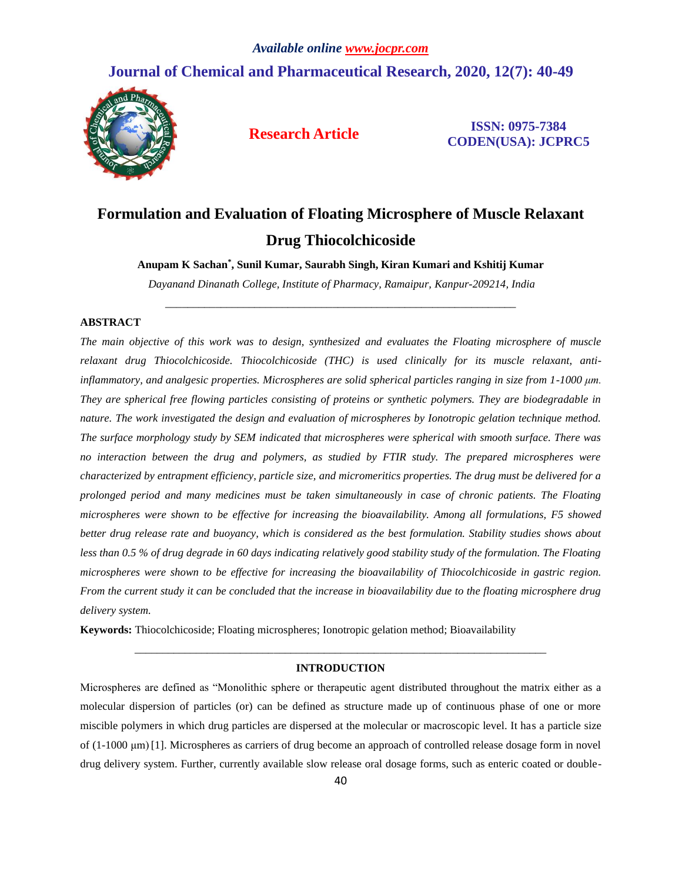## **Journal of Chemical and Pharmaceutical Research, 2020, 12(7): 40-49**



**Research Article ISSN: 0975-7384 CODEN(USA): JCPRC5**

# **Formulation and Evaluation of Floating Microsphere of Muscle Relaxant Drug Thiocolchicoside**

**Anupam K Sachan\* , Sunil Kumar, Saurabh Singh, Kiran Kumari and Kshitij Kumar**

*Dayanand Dinanath College, Institute of Pharmacy, Ramaipur, Kanpur-209214, India* \_\_\_\_\_\_\_\_\_\_\_\_\_\_\_\_\_\_\_\_\_\_\_\_\_\_\_\_\_\_\_\_\_\_\_\_\_\_\_\_\_\_\_\_\_\_\_\_\_\_\_\_\_\_\_\_\_\_\_\_\_\_\_

#### **ABSTRACT**

*The main objective of this work was to design, synthesized and evaluates the Floating microsphere of muscle relaxant drug Thiocolchicoside. Thiocolchicoside (THC) is used clinically for its muscle relaxant, antiinflammatory, and analgesic properties. Microspheres are solid spherical particles ranging in size from 1-1000 μm. They are spherical free flowing particles consisting of proteins or synthetic polymers. They are biodegradable in nature. The work investigated the design and evaluation of microspheres by Ionotropic gelation technique method. The surface morphology study by SEM indicated that microspheres were spherical with smooth surface. There was no interaction between the drug and polymers, as studied by FTIR study. The prepared microspheres were characterized by entrapment efficiency, particle size, and micromeritics properties. The drug must be delivered for a prolonged period and many medicines must be taken simultaneously in case of chronic patients. The Floating microspheres were shown to be effective for increasing the bioavailability. Among all formulations, F5 showed better drug release rate and buoyancy, which is considered as the best formulation. Stability studies shows about less than 0.5 % of drug degrade in 60 days indicating relatively good stability study of the formulation. The Floating microspheres were shown to be effective for increasing the bioavailability of Thiocolchicoside in gastric region. From the current study it can be concluded that the increase in bioavailability due to the floating microsphere drug delivery system.*

**Keywords:** Thiocolchicoside; Floating microspheres; Ionotropic gelation method; Bioavailability

### *\_\_\_\_\_\_\_\_\_\_\_\_\_\_\_\_\_\_\_\_\_\_\_\_\_\_\_\_\_\_\_\_\_\_\_\_\_\_\_\_\_\_\_\_\_\_\_\_\_\_\_\_\_\_\_\_\_\_\_\_\_\_\_\_\_\_\_\_\_\_\_\_\_\_* **INTRODUCTION**

Microspheres are defined as "Monolithic sphere or therapeutic agent distributed throughout the matrix either as a molecular dispersion of particles (or) can be defined as structure made up of continuous phase of one or more miscible polymers in which drug particles are dispersed at the molecular or macroscopic level. It has a particle size of (1-1000 μm) [1]. Microspheres as carriers of drug become an approach of controlled release dosage form in novel drug delivery system. Further, currently available slow release oral dosage forms, such as enteric coated or double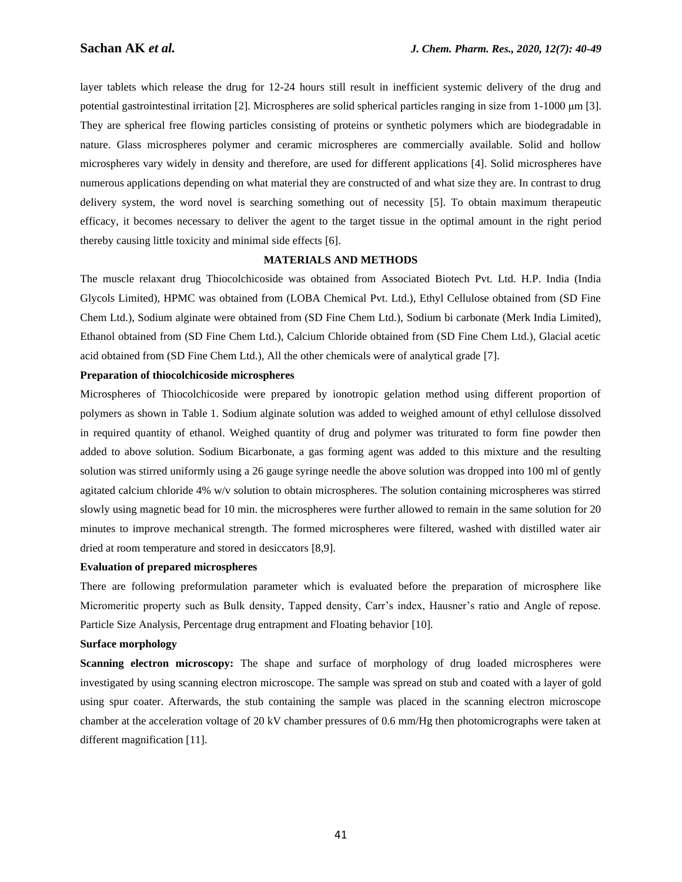layer tablets which release the drug for 12-24 hours still result in inefficient systemic delivery of the drug and potential gastrointestinal irritation [2]. Microspheres are solid spherical particles ranging in size from 1-1000 μm [3]. They are spherical free flowing particles consisting of proteins or synthetic polymers which are biodegradable in nature. Glass microspheres polymer and ceramic microspheres are commercially available. Solid and hollow microspheres vary widely in density and therefore, are used for different applications [4]. Solid microspheres have numerous applications depending on what material they are constructed of and what size they are. In contrast to drug delivery system, the word novel is searching something out of necessity [5]. To obtain maximum therapeutic efficacy, it becomes necessary to deliver the agent to the target tissue in the optimal amount in the right period thereby causing little toxicity and minimal side effects [6].

#### **MATERIALS AND METHODS**

The muscle relaxant drug Thiocolchicoside was obtained from Associated Biotech Pvt. Ltd. H.P. India (India Glycols Limited), HPMC was obtained from (LOBA Chemical Pvt. Ltd.), Ethyl Cellulose obtained from (SD Fine Chem Ltd.), Sodium alginate were obtained from (SD Fine Chem Ltd.), Sodium bi carbonate (Merk India Limited), Ethanol obtained from (SD Fine Chem Ltd.), Calcium Chloride obtained from (SD Fine Chem Ltd.), Glacial acetic acid obtained from (SD Fine Chem Ltd.), All the other chemicals were of analytical grade [7].

#### **Preparation of thiocolchicoside microspheres**

Microspheres of Thiocolchicoside were prepared by ionotropic gelation method using different proportion of polymers as shown in Table 1. Sodium alginate solution was added to weighed amount of ethyl cellulose dissolved in required quantity of ethanol. Weighed quantity of drug and polymer was triturated to form fine powder then added to above solution. Sodium Bicarbonate, a gas forming agent was added to this mixture and the resulting solution was stirred uniformly using a 26 gauge syringe needle the above solution was dropped into 100 ml of gently agitated calcium chloride 4% w/v solution to obtain microspheres. The solution containing microspheres was stirred slowly using magnetic bead for 10 min. the microspheres were further allowed to remain in the same solution for 20 minutes to improve mechanical strength. The formed microspheres were filtered, washed with distilled water air dried at room temperature and stored in desiccators [8,9].

#### **Evaluation of prepared microspheres**

There are following preformulation parameter which is evaluated before the preparation of microsphere like Micromeritic property such as Bulk density, Tapped density, Carr's index, Hausner's ratio and Angle of repose. Particle Size Analysis, Percentage drug entrapment and Floating behavior [10].

#### **Surface morphology**

**Scanning electron microscopy:** The shape and surface of morphology of drug loaded microspheres were investigated by using scanning electron microscope. The sample was spread on stub and coated with a layer of gold using spur coater. Afterwards, the stub containing the sample was placed in the scanning electron microscope chamber at the acceleration voltage of 20 kV chamber pressures of 0.6 mm/Hg then photomicrographs were taken at different magnification [11].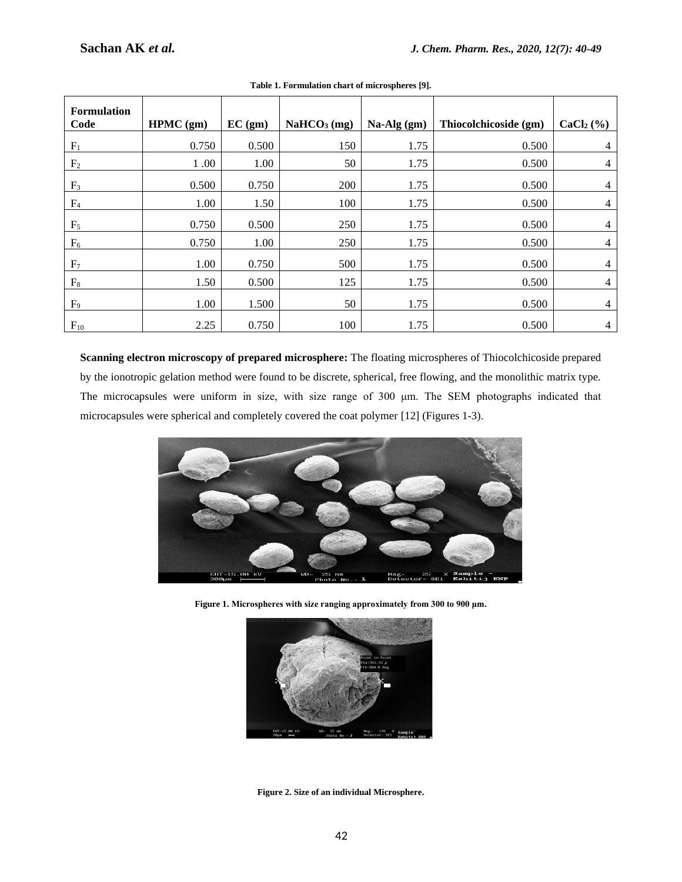| <b>Formulation</b><br>Code | HPMC (gm) | EC (gm) | NaHCO <sub>3</sub> (mg) | $Na-Alg(gm)$ | Thiocolchicoside (gm) | $CaCl2(\%)$ |
|----------------------------|-----------|---------|-------------------------|--------------|-----------------------|-------------|
| $F_1$                      | 0.750     | 0.500   | 150                     | 1.75         | 0.500                 | 4           |
| F <sub>2</sub>             | 1.00      | 1.00    | 50                      | 1.75         | 0.500                 | 4           |
| F <sub>3</sub>             | 0.500     | 0.750   | 200                     | 1.75         | 0.500                 | 4           |
| F <sub>4</sub>             | 1.00      | 1.50    | 100                     | 1.75         | 0.500                 | 4           |
| $F_5$                      | 0.750     | 0.500   | 250                     | 1.75         | 0.500                 | 4           |
| $F_6$                      | 0.750     | 1.00    | 250                     | 1.75         | 0.500                 | 4           |
| F <sub>7</sub>             | 1.00      | 0.750   | 500                     | 1.75         | 0.500                 | 4           |
| $\mathrm{F}_8$             | 1.50      | 0.500   | 125                     | 1.75         | 0.500                 | 4           |
| $F_9$                      | 1.00      | 1.500   | 50                      | 1.75         | 0.500                 | 4           |
| $F_{10}$                   | 2.25      | 0.750   | 100                     | 1.75         | 0.500                 | 4           |

**Table 1. Formulation chart of microspheres [9].**

**Scanning electron microscopy of prepared microsphere:** The floating microspheres of Thiocolchicoside prepared by the ionotropic gelation method were found to be discrete, spherical, free flowing, and the monolithic matrix type. The microcapsules were uniform in size, with size range of 300 μm. The SEM photographs indicated that microcapsules were spherical and completely covered the coat polymer [12] (Figures 1-3).



**Figure 1. Microspheres with size ranging approximately from 300 to 900 μm.**



**Figure 2. Size of an individual Microsphere.**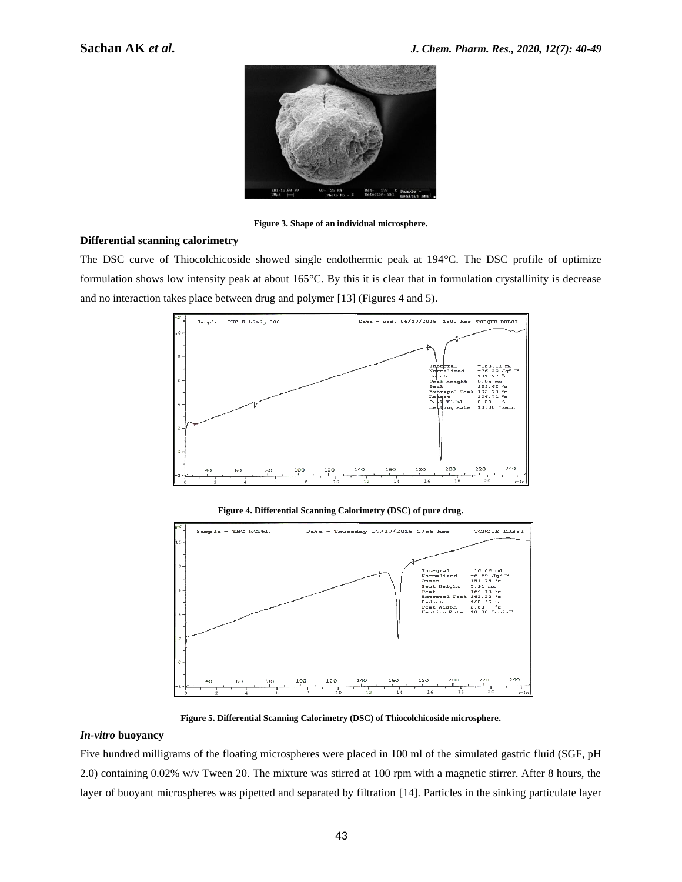

**Figure 3. Shape of an individual microsphere.**

#### **Differential scanning calorimetry**

The DSC curve of Thiocolchicoside showed single endothermic peak at 194°C. The DSC profile of optimize formulation shows low intensity peak at about 165°C. By this it is clear that in formulation crystallinity is decrease and no interaction takes place between drug and polymer [13] (Figures 4 and 5).



**Figure 4. Differential Scanning Calorimetry (DSC) of pure drug.**



**Figure 5. Differential Scanning Calorimetry (DSC) of Thiocolchicoside microsphere.**

#### *In-vitro* **buoyancy**

Five hundred milligrams of the floating microspheres were placed in 100 ml of the simulated gastric fluid (SGF, pH 2.0) containing 0.02% w/v Tween 20. The mixture was stirred at 100 rpm with a magnetic stirrer. After 8 hours, the layer of buoyant microspheres was pipetted and separated by filtration [14]. Particles in the sinking particulate layer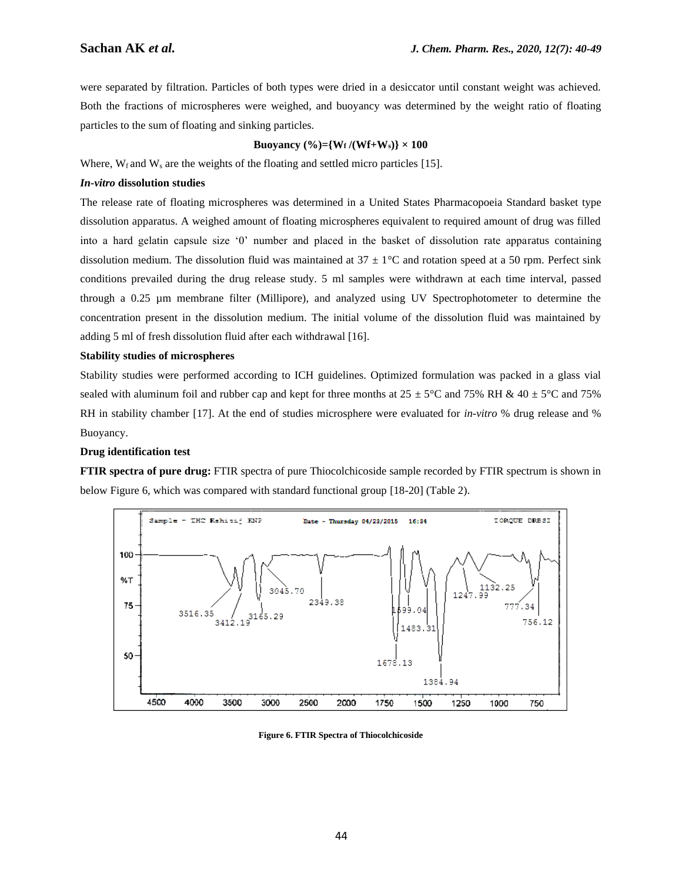were separated by filtration. Particles of both types were dried in a desiccator until constant weight was achieved. Both the fractions of microspheres were weighed, and buoyancy was determined by the weight ratio of floating particles to the sum of floating and sinking particles.

#### **Buoyancy**  $(\%)=\{W_f/(Wf+W_s)\}\times 100$

Where,  $W_f$  and  $W_s$  are the weights of the floating and settled micro particles [15].

#### *In-vitro* **dissolution studies**

The release rate of floating microspheres was determined in a United States Pharmacopoeia Standard basket type dissolution apparatus. A weighed amount of floating microspheres equivalent to required amount of drug was filled into a hard gelatin capsule size '0' number and placed in the basket of dissolution rate apparatus containing dissolution medium. The dissolution fluid was maintained at  $37 \pm 1^{\circ}$ C and rotation speed at a 50 rpm. Perfect sink conditions prevailed during the drug release study. 5 ml samples were withdrawn at each time interval, passed through a 0.25 µm membrane filter (Millipore), and analyzed using UV Spectrophotometer to determine the concentration present in the dissolution medium. The initial volume of the dissolution fluid was maintained by adding 5 ml of fresh dissolution fluid after each withdrawal [16].

#### **Stability studies of microspheres**

Stability studies were performed according to ICH guidelines. Optimized formulation was packed in a glass vial sealed with aluminum foil and rubber cap and kept for three months at  $25 \pm 5^{\circ}$ C and  $75\%$  RH &  $40 \pm 5^{\circ}$ C and  $75\%$ RH in stability chamber [17]. At the end of studies microsphere were evaluated for *in-vitro* % drug release and % Buoyancy.

#### **Drug identification test**

**FTIR spectra of pure drug:** FTIR spectra of pure Thiocolchicoside sample recorded by FTIR spectrum is shown in below Figure 6, which was compared with standard functional group [18-20] (Table 2).



**Figure 6. FTIR Spectra of Thiocolchicoside**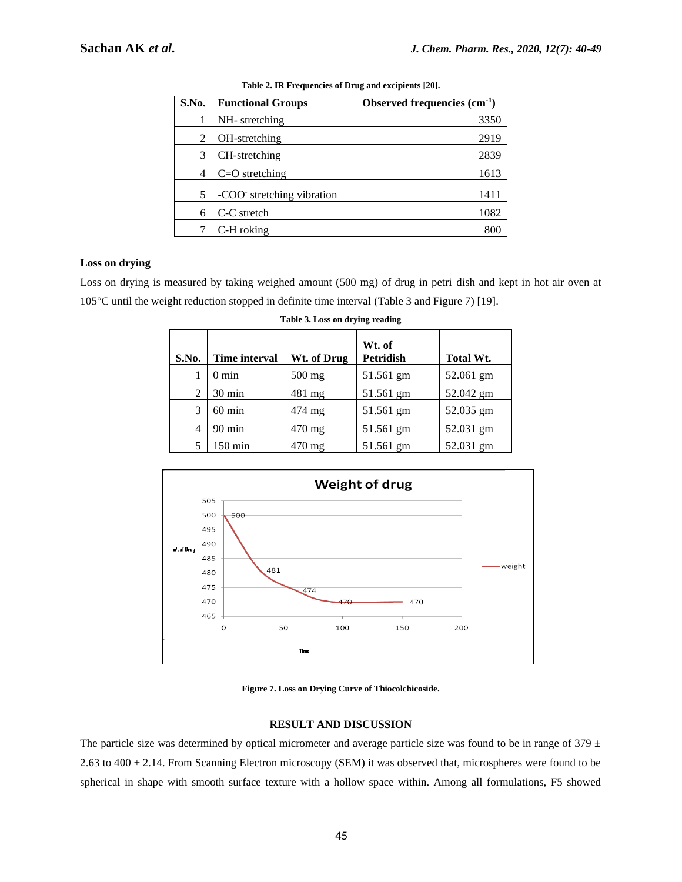| S.No. | <b>Functional Groups</b>  | Observed frequencies $(cm-1)$ |
|-------|---------------------------|-------------------------------|
|       | NH-stretching             | 3350                          |
| 2     | OH-stretching             | 2919                          |
| 3     | CH-stretching             | 2839                          |
| 4     | $C=O$ stretching          | 1613                          |
| 5     | -COO stretching vibration | 1411                          |
| 6     | C-C stretch               | 1082                          |
|       | C-H roking                | 800                           |

| Table 2. IR Frequencies of Drug and excipients [20]. |  |  |
|------------------------------------------------------|--|--|
|                                                      |  |  |

#### **Loss on drying**

Loss on drying is measured by taking weighed amount (500 mg) of drug in petri dish and kept in hot air oven at 105°C until the weight reduction stopped in definite time interval (Table 3 and Figure 7) [19].

| S.No. | <b>Time interval</b> | Wt. of Drug      | Wt. of<br><b>Petridish</b> | Total Wt. |
|-------|----------------------|------------------|----------------------------|-----------|
|       | $0 \text{ min}$      | $500$ mg         | 51.561 gm                  | 52.061 gm |
| 2     | $30 \text{ min}$     | $481 \text{ mg}$ | 51.561 gm                  | 52.042 gm |
| 3     | $60 \text{ min}$     | $474 \text{ mg}$ | 51.561 gm                  | 52.035 gm |
| 4     | $90 \text{ min}$     | $470 \text{ mg}$ | 51.561 gm                  | 52.031 gm |
| 5     | $150 \text{ min}$    | $470 \text{ mg}$ | 51.561 gm                  | 52.031 gm |

| Table 3. Loss on drying reading |  |  |  |
|---------------------------------|--|--|--|
|---------------------------------|--|--|--|



**Figure 7. Loss on Drying Curve of Thiocolchicoside.**

#### **RESULT AND DISCUSSION**

The particle size was determined by optical micrometer and average particle size was found to be in range of  $379 \pm$ 2.63 to 400 ± 2.14. From Scanning Electron microscopy (SEM) it was observed that, microspheres were found to be spherical in shape with smooth surface texture with a hollow space within. Among all formulations, F5 showed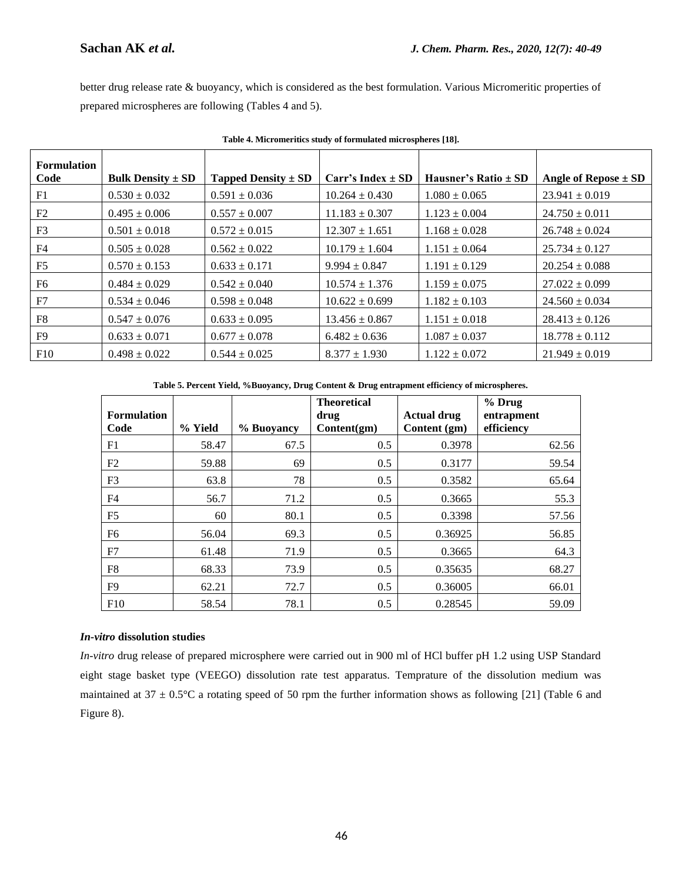better drug release rate & buoyancy, which is considered as the best formulation. Various Micromeritic properties of prepared microspheres are following (Tables 4 and 5).

| <b>Formulation</b> |                                         |                         |                       |                          |                          |
|--------------------|-----------------------------------------|-------------------------|-----------------------|--------------------------|--------------------------|
| Code               | <b>Bulk Density <math>\pm</math> SD</b> | Tapped Density $\pm$ SD | Carr's Index $\pm$ SD | Hausner's Ratio $\pm$ SD | Angle of Repose $\pm$ SD |
| F1                 | $0.530 \pm 0.032$                       | $0.591 \pm 0.036$       | $10.264 \pm 0.430$    | $1.080 \pm 0.065$        | $23.941 \pm 0.019$       |
| F2                 | $0.495 \pm 0.006$                       | $0.557 \pm 0.007$       | $11.183 \pm 0.307$    | $1.123 \pm 0.004$        | $24.750 \pm 0.011$       |
| F3                 | $0.501 \pm 0.018$                       | $0.572 \pm 0.015$       | $12.307 \pm 1.651$    | $1.168 \pm 0.028$        | $26.748 \pm 0.024$       |
| F4                 | $0.505 \pm 0.028$                       | $0.562 \pm 0.022$       | $10.179 \pm 1.604$    | $1.151 \pm 0.064$        | $25.734 \pm 0.127$       |
| F <sub>5</sub>     | $0.570 \pm 0.153$                       | $0.633 \pm 0.171$       | $9.994 \pm 0.847$     | $1.191 \pm 0.129$        | $20.254 \pm 0.088$       |
| F6                 | $0.484 \pm 0.029$                       | $0.542 \pm 0.040$       | $10.574 \pm 1.376$    | $1.159 \pm 0.075$        | $27.022 \pm 0.099$       |
| F7                 | $0.534 \pm 0.046$                       | $0.598 \pm 0.048$       | $10.622 \pm 0.699$    | $1.182 \pm 0.103$        | $24.560 \pm 0.034$       |
| F8                 | $0.547 \pm 0.076$                       | $0.633 \pm 0.095$       | $13.456 \pm 0.867$    | $1.151 \pm 0.018$        | $28.413 \pm 0.126$       |
| F9                 | $0.633 \pm 0.071$                       | $0.677 \pm 0.078$       | $6.482 \pm 0.636$     | $1.087 \pm 0.037$        | $18.778 \pm 0.112$       |
| F10                | $0.498 \pm 0.022$                       | $0.544 \pm 0.025$       | $8.377 \pm 1.930$     | $1.122 \pm 0.072$        | $21.949 \pm 0.019$       |

**Table 4. Micromeritics study of formulated microspheres [18].**

**Table 5. Percent Yield, %Buoyancy, Drug Content & Drug entrapment efficiency of microspheres.**

| <b>Formulation</b><br>Code | % Yield | % Buoyancy | <b>Theoretical</b><br>drug<br>Content(gm) | <b>Actual drug</b><br>Content (gm) | % Drug<br>entrapment<br>efficiency |
|----------------------------|---------|------------|-------------------------------------------|------------------------------------|------------------------------------|
| F1                         | 58.47   | 67.5       | 0.5                                       | 0.3978                             | 62.56                              |
| F2                         | 59.88   | 69         | 0.5                                       | 0.3177                             | 59.54                              |
| F <sub>3</sub>             | 63.8    | 78         | 0.5                                       | 0.3582                             | 65.64                              |
| F <sub>4</sub>             | 56.7    | 71.2       | 0.5                                       | 0.3665                             | 55.3                               |
| F <sub>5</sub>             | 60      | 80.1       | 0.5                                       | 0.3398                             | 57.56                              |
| F <sub>6</sub>             | 56.04   | 69.3       | 0.5                                       | 0.36925                            | 56.85                              |
| F7                         | 61.48   | 71.9       | 0.5                                       | 0.3665                             | 64.3                               |
| F8                         | 68.33   | 73.9       | 0.5                                       | 0.35635                            | 68.27                              |
| F <sub>9</sub>             | 62.21   | 72.7       | 0.5                                       | 0.36005                            | 66.01                              |
| F10                        | 58.54   | 78.1       | 0.5                                       | 0.28545                            | 59.09                              |

#### *In-vitro* **dissolution studies**

*In-vitro* drug release of prepared microsphere were carried out in 900 ml of HCl buffer pH 1.2 using USP Standard eight stage basket type (VEEGO) dissolution rate test apparatus. Temprature of the dissolution medium was maintained at  $37 \pm 0.5^{\circ}$ C a rotating speed of 50 rpm the further information shows as following [21] (Table 6 and Figure 8).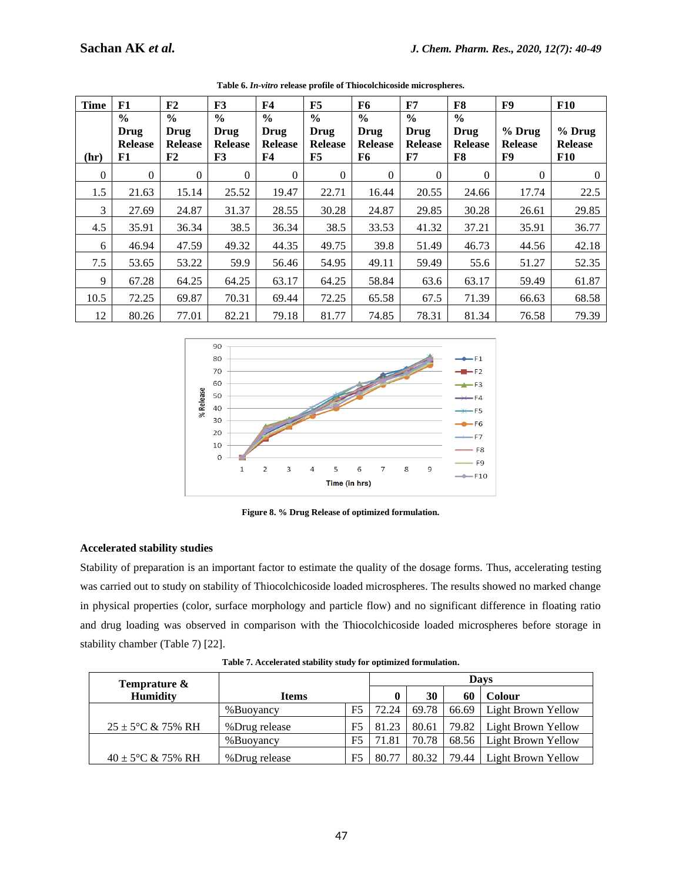| <b>Time</b> | F1                                            | F2                                            | F3                                            | <b>F4</b>                                            | F5                                            | F6                                            | F7                                            | F8       | F9                               | <b>F10</b>                               |
|-------------|-----------------------------------------------|-----------------------------------------------|-----------------------------------------------|------------------------------------------------------|-----------------------------------------------|-----------------------------------------------|-----------------------------------------------|----------|----------------------------------|------------------------------------------|
| (hr)        | $\frac{6}{6}$<br>Drug<br><b>Release</b><br>F1 | $\frac{6}{9}$<br>Drug<br><b>Release</b><br>F2 | $\frac{6}{9}$<br>Drug<br><b>Release</b><br>F3 | $\frac{6}{9}$<br>Drug<br><b>Release</b><br><b>F4</b> | $\frac{6}{9}$<br>Drug<br><b>Release</b><br>F5 | $\frac{6}{9}$<br>Drug<br><b>Release</b><br>F6 | $\frac{6}{6}$<br>Drug<br><b>Release</b><br>F7 |          | $%$ Drug<br><b>Release</b><br>F9 | $%$ Drug<br><b>Release</b><br><b>F10</b> |
| $\Omega$    | $\theta$                                      | $\Omega$                                      | $\overline{0}$                                | $\Omega$                                             | $\Omega$                                      | $\theta$                                      | $\Omega$                                      | $\Omega$ | $\Omega$                         | $\Omega$                                 |
| 1.5         | 21.63                                         | 15.14                                         | 25.52                                         | 19.47                                                | 22.71                                         | 16.44                                         | 20.55                                         | 24.66    | 17.74                            | 22.5                                     |
| 3           | 27.69                                         | 24.87                                         | 31.37                                         | 28.55                                                | 30.28                                         | 24.87                                         | 29.85                                         | 30.28    | 26.61                            | 29.85                                    |
| 4.5         | 35.91                                         | 36.34                                         | 38.5                                          | 36.34                                                | 38.5                                          | 33.53                                         | 41.32                                         | 37.21    | 35.91                            | 36.77                                    |
| 6           | 46.94                                         | 47.59                                         | 49.32                                         | 44.35                                                | 49.75                                         | 39.8                                          | 51.49                                         | 46.73    | 44.56                            | 42.18                                    |
| 7.5         | 53.65                                         | 53.22                                         | 59.9                                          | 56.46                                                | 54.95                                         | 49.11                                         | 59.49                                         | 55.6     | 51.27                            | 52.35                                    |
| 9           | 67.28                                         | 64.25                                         | 64.25                                         | 63.17                                                | 64.25                                         | 58.84                                         | 63.6                                          | 63.17    | 59.49                            | 61.87                                    |
| 10.5        | 72.25                                         | 69.87                                         | 70.31                                         | 69.44                                                | 72.25                                         | 65.58                                         | 67.5                                          | 71.39    | 66.63                            | 68.58                                    |
| 12          | 80.26                                         | 77.01                                         | 82.21                                         | 79.18                                                | 81.77                                         | 74.85                                         | 78.31                                         | 81.34    | 76.58                            | 79.39                                    |

**Table 6.** *In-vitro* **release profile of Thiocolchicoside microspheres.**



**Figure 8. % Drug Release of optimized formulation.**

#### **Accelerated stability studies**

Stability of preparation is an important factor to estimate the quality of the dosage forms. Thus, accelerating testing was carried out to study on stability of Thiocolchicoside loaded microspheres. The results showed no marked change in physical properties (color, surface morphology and particle flow) and no significant difference in floating ratio and drug loading was observed in comparison with the Thiocolchicoside loaded microspheres before storage in stability chamber (Table 7) [22].

| Temprature &                  |               |    | Davs  |       |         |                            |
|-------------------------------|---------------|----|-------|-------|---------|----------------------------|
| <b>Humidity</b>               | Items         |    | 0     | 30    | 60      | <b>Colour</b>              |
|                               | %Buoyancy     | F5 | 72.24 | 69.78 |         | 66.69   Light Brown Yellow |
| $25 \pm 5^{\circ}$ C & 75% RH | %Drug release | F5 | 81.23 | 80.61 |         | 79.82   Light Brown Yellow |
|                               | %Buoyancy     | F5 | 71.81 | 70.78 |         | 68.56   Light Brown Yellow |
| $40 \pm 5^{\circ}$ C & 75% RH | %Drug release | F5 | 80.77 | 80.32 | 79.44 l | Light Brown Yellow         |

**Table 7. Accelerated stability study for optimized formulation.**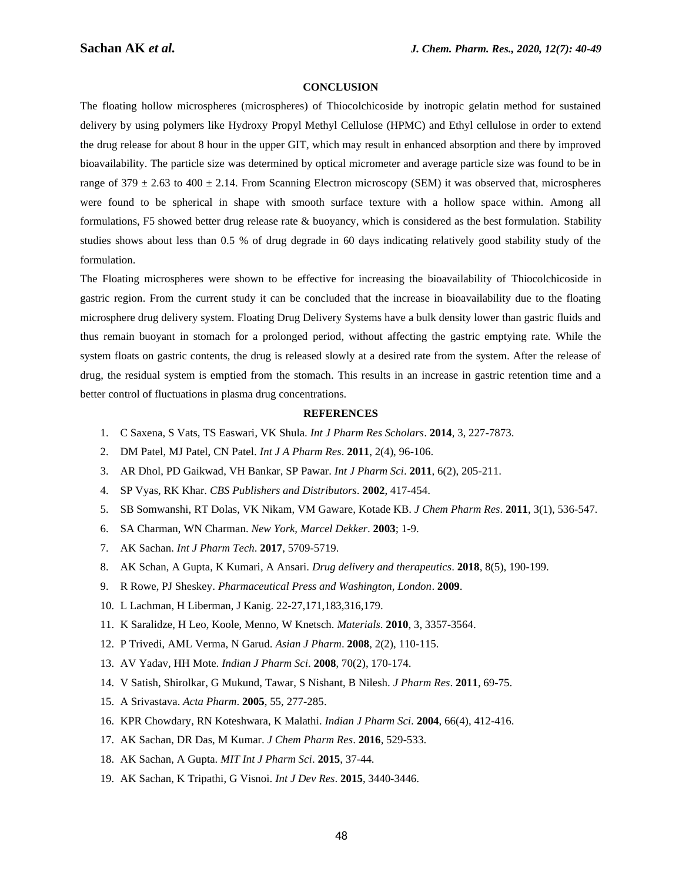#### **CONCLUSION**

The floating hollow microspheres (microspheres) of Thiocolchicoside by inotropic gelatin method for sustained delivery by using polymers like Hydroxy Propyl Methyl Cellulose (HPMC) and Ethyl cellulose in order to extend the drug release for about 8 hour in the upper GIT, which may result in enhanced absorption and there by improved bioavailability. The particle size was determined by optical micrometer and average particle size was found to be in range of  $379 \pm 2.63$  to  $400 \pm 2.14$ . From Scanning Electron microscopy (SEM) it was observed that, microspheres were found to be spherical in shape with smooth surface texture with a hollow space within. Among all formulations, F5 showed better drug release rate & buoyancy, which is considered as the best formulation. Stability studies shows about less than 0.5 % of drug degrade in 60 days indicating relatively good stability study of the formulation.

The Floating microspheres were shown to be effective for increasing the bioavailability of Thiocolchicoside in gastric region. From the current study it can be concluded that the increase in bioavailability due to the floating microsphere drug delivery system. Floating Drug Delivery Systems have a bulk density lower than gastric fluids and thus remain buoyant in stomach for a prolonged period, without affecting the gastric emptying rate. While the system floats on gastric contents, the drug is released slowly at a desired rate from the system. After the release of drug, the residual system is emptied from the stomach. This results in an increase in gastric retention time and a better control of fluctuations in plasma drug concentrations.

#### **REFERENCES**

- 1. C Saxena, S Vats, TS Easwari, VK Shula. *Int J Pharm Res Scholars*. **2014**, 3, 227-7873.
- 2. DM Patel, MJ Patel, CN Patel. *Int J A Pharm Res*. **2011**, 2(4), 96-106.
- 3. AR Dhol, PD Gaikwad, VH Bankar, SP Pawar. *Int J Pharm Sci*. **2011**, 6(2), 205-211.
- 4. SP Vyas, RK Khar. *CBS Publishers and Distributors*. **2002**, 417-454.
- 5. SB Somwanshi, RT Dolas, VK Nikam, VM Gaware, Kotade KB. *J Chem Pharm Res*. **2011**, 3(1), 536-547.
- 6. SA Charman, WN Charman. *New York, Marcel Dekker*. **2003**; 1-9.
- 7. AK Sachan. *Int J Pharm Tech*. **2017**, 5709-5719.
- 8. AK Schan, A Gupta, K Kumari, A Ansari. *Drug delivery and therapeutics*. **2018**, 8(5), 190-199.
- 9. R Rowe, PJ Sheskey. *Pharmaceutical Press and Washington, London*. **2009**.
- 10. L Lachman, H Liberman, J Kanig. 22-27,171,183,316,179.
- 11. K Saralidze, H Leo, Koole, Menno, W Knetsch. *Materials*. **2010**, 3, 3357-3564.
- 12. P Trivedi, AML Verma, N Garud. *Asian J Pharm*. **2008**, 2(2), 110-115.
- 13. AV Yadav, HH Mote. *Indian J Pharm Sci*. **2008**, 70(2), 170-174.
- 14. V Satish, Shirolkar, G Mukund, Tawar, S Nishant, B Nilesh. *J Pharm Res*. **2011**, 69-75.
- 15. A Srivastava. *Acta Pharm*. **2005**, 55, 277-285.
- 16. KPR Chowdary, RN Koteshwara, K Malathi. *Indian J Pharm Sci*. **2004**, 66(4), 412-416.
- 17. AK Sachan, DR Das, M Kumar. *J Chem Pharm Res*. **2016**, 529-533.
- 18. AK Sachan, A Gupta. *MIT Int J Pharm Sci*. **2015**, 37-44.
- 19. AK Sachan, K Tripathi, G Visnoi. *Int J Dev Res*. **2015**, 3440-3446.